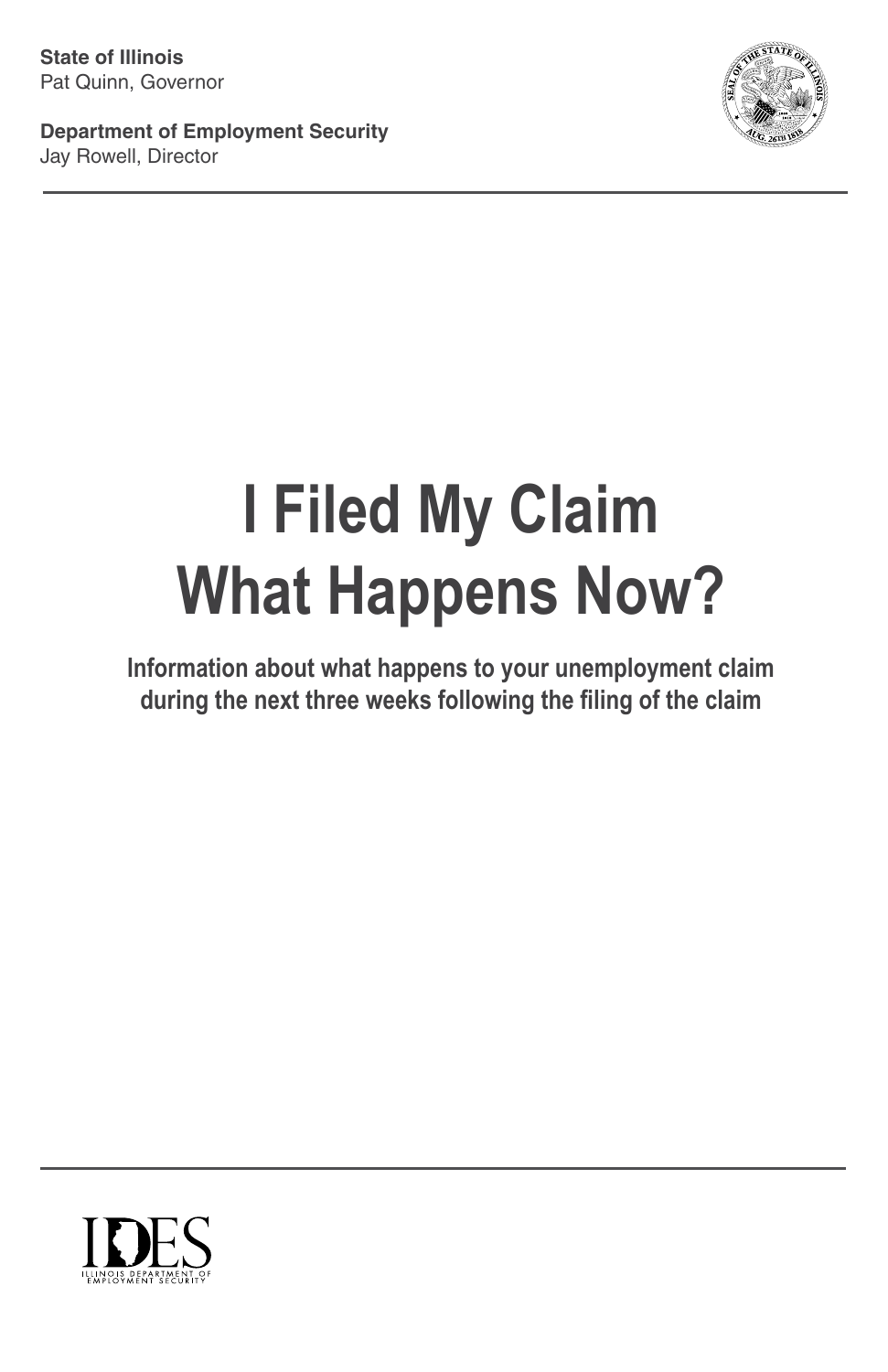**State of Illinois** Pat Quinn, Governor

**Department of Employment Security** Jay Rowell, Director



# **I Filed My Claim What Happens Now?**

**Information about what happens to your unemployment claim during the next three weeks following the filing of the claim**

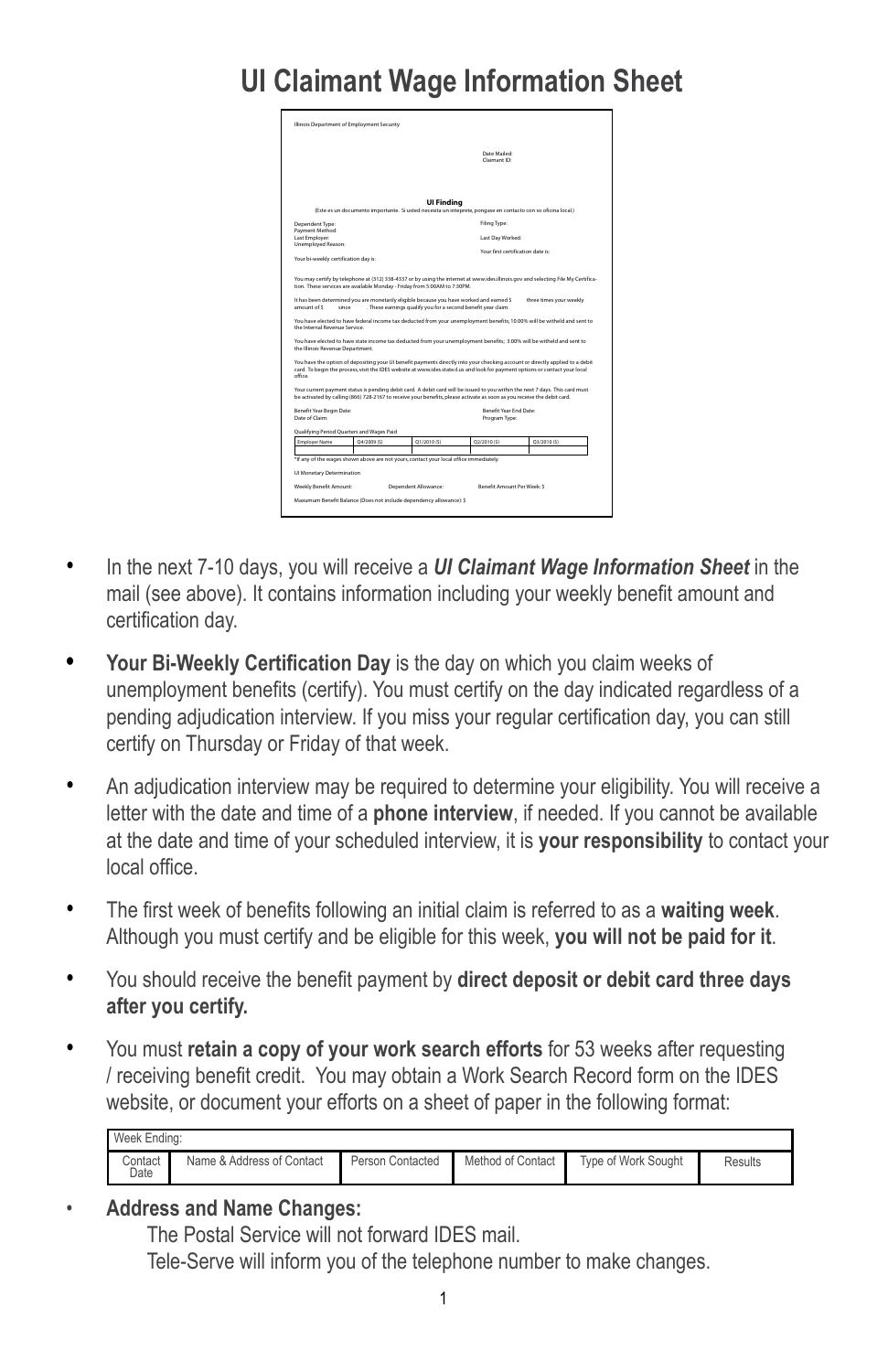# **UI Claimant Wage Information Sheet**

|                                                                                                                                                           | Dana Mailaré<br>Claimant ID: |                                                               |                        |                                                                                                                                   |  |  |  |
|-----------------------------------------------------------------------------------------------------------------------------------------------------------|------------------------------|---------------------------------------------------------------|------------------------|-----------------------------------------------------------------------------------------------------------------------------------|--|--|--|
|                                                                                                                                                           |                              |                                                               |                        |                                                                                                                                   |  |  |  |
|                                                                                                                                                           |                              | Ul Findina                                                    |                        |                                                                                                                                   |  |  |  |
| (Este es un documento importante. Si usted necesita un inteprete, pongase en contacto con so oficina local.)                                              |                              |                                                               |                        |                                                                                                                                   |  |  |  |
| Dependent Type:<br>Payment Method:                                                                                                                        |                              |                                                               | Filing Type:           |                                                                                                                                   |  |  |  |
| Last Employer:                                                                                                                                            |                              |                                                               | Last Day Worked:       |                                                                                                                                   |  |  |  |
| Unemployed Reason:                                                                                                                                        |                              |                                                               |                        | Your first cartification data is:                                                                                                 |  |  |  |
| Your bi-weekly certification day is:                                                                                                                      |                              |                                                               |                        |                                                                                                                                   |  |  |  |
| tion. These services are available Monday - Friday from 5:00AM to 7:30PM.                                                                                 |                              |                                                               |                        | You may certify by telephone at (312) 338-4337 or by using the internet at www.ides.illinois.gov and selecting File My Certifica- |  |  |  |
| It has been determined you are monetarily eligible because you have worked and earned \$<br>2 by treasures<br>sinro                                       |                              | . These earnings qualify you for a second benefit year claim. |                        | three times your weekly.                                                                                                          |  |  |  |
| the Internal Revenue Service                                                                                                                              |                              |                                                               |                        | You have elected to have federal income tax deducted from your unemployment benefits; 10.00% will be witheld and sent to          |  |  |  |
| You have elected to have state income tax deducted from your unemployment benefits: 3.00% will be witheld and sent to<br>the Illinois Revenue Department. |                              |                                                               |                        |                                                                                                                                   |  |  |  |
| card. To begin the process, visit the IDES website at www.ides.state.il.us and look for payment options or contact your local<br>office                   |                              |                                                               |                        | You have the option of depositing your UI benefit payments directly into your checking account or directly applied to a debit     |  |  |  |
| be activated by calling (866) 728-2167 to receive your benefits, please activate as soon as you receive the debit card.                                   |                              |                                                               |                        | Your current payment status is pending debit card. A debit card will be issued to you within the next 7 days. This card must      |  |  |  |
| Benefit Year Begin Date:                                                                                                                                  |                              |                                                               | Benefit Year End Date: |                                                                                                                                   |  |  |  |
|                                                                                                                                                           | Program Type:                |                                                               |                        |                                                                                                                                   |  |  |  |
| Date of Claim:                                                                                                                                            |                              |                                                               |                        |                                                                                                                                   |  |  |  |
| Qualifying Period Quarters and Wages Paid                                                                                                                 |                              |                                                               |                        |                                                                                                                                   |  |  |  |
| <b>Employer Name</b>                                                                                                                                      | 04/2009 (5)                  | 01/2010 (5)                                                   | 02/2010 (5)            | O'L/2010 PD                                                                                                                       |  |  |  |
|                                                                                                                                                           |                              |                                                               |                        |                                                                                                                                   |  |  |  |
| *If any of the wages shown above are not yours, contact your local office immediately.<br>UI Monetary Determination                                       |                              |                                                               |                        |                                                                                                                                   |  |  |  |

- In the next 7-10 days, you will receive a **UI Claimant Wage Information Sheet** in the mail (see above). It contains information including your weekly benefit amount and certification day.
- **• Your Bi-Weekly Certification Day** is the day on which you claim weeks of unemployment benefits (certify). You must certify on the day indicated regardless of a pending adjudication interview. If you miss your regular certification day, you can still certify on Thursday or Friday of that week.
- An adjudication interview may be required to determine your eligibility. You will receive a letter with the date and time of a **phone interview**, if needed. If you cannot be available at the date and time of your scheduled interview, it is **your responsibility** to contact your local office.
- The first week of benefits following an initial claim is referred to as a waiting week. Although you must certify and be eligible for this week, **you will not be paid for it**.
- You should receive the benefit payment by **direct deposit or debit card three days after you certify.**
- You must **retain a copy of your work search efforts** for 53 weeks after requesting / receiving benefit credit. You may obtain a Work Search Record form on the IDES website, or document your efforts on a sheet of paper in the following format:

| Week Ending:    |                           |                  |                   |                     |         |  |  |  |  |
|-----------------|---------------------------|------------------|-------------------|---------------------|---------|--|--|--|--|
| Contact<br>Date | Name & Address of Contact | Person Contacted | Method of Contact | Type of Work Sought | Results |  |  |  |  |
|                 |                           |                  |                   |                     |         |  |  |  |  |

Address and Name Changes:

The Postal Service will not forward IDES mail.

Tele-Serve will inform you of the telephone number to make changes.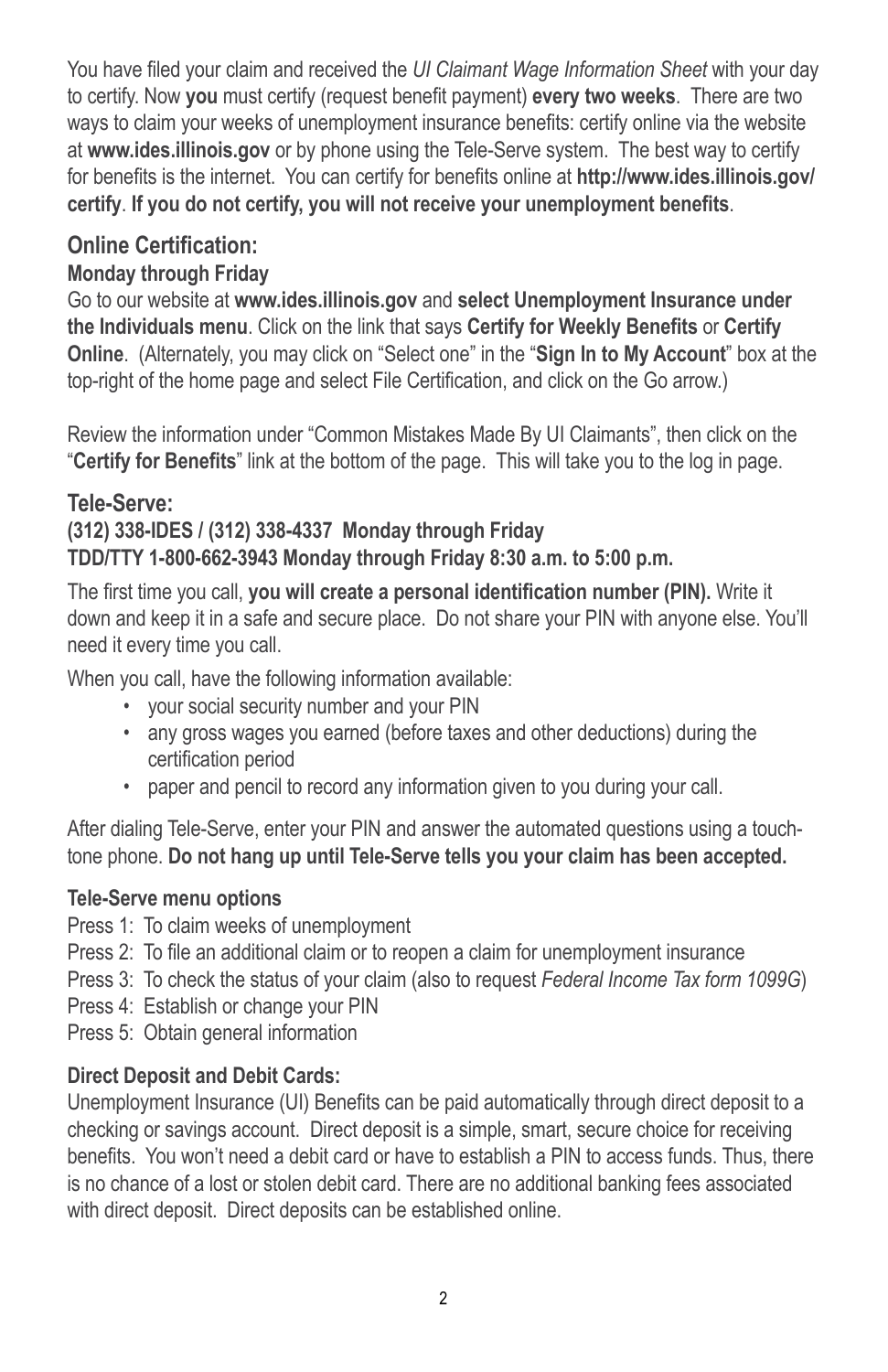You have filed your claim and received the *UI Claimant Wage Information Sheet* with your day to certify. Now **you** must certify (request benefit payment) **every two weeks**. There are two ways to claim your weeks of unemployment insurance benefits: certify online via the website at **www.ides.illinois.gov** or by phone using the Tele-Serve system. The best way to certify for benefits is the internet. You can certify for benefits online at **http://www.ides.illinois.gov/ certify**. **If you do not certify, you will not receive your unemployment benefits**.

### **Online Certification:**

### **Monday through Friday**

Go to our website at **www.ides.illinois.gov** and **select Unemployment Insurance under the Individuals menu**. Click on the link that says **Certify for Weekly Benefits** or **Certify Online**. (Alternately, you may click on "Select one" in the "**Sign In to My Account**" box at the top-right of the home page and select File Certification, and click on the Go arrow.)

Review the information under "Common Mistakes Made By UI Claimants", then click on the "**Certify for Benefits**" link at the bottom of the page. This will take you to the log in page.

### **Tele-Serve:**

### **(312) 338-IDES / (312) 338-4337 Monday through Friday TDD/TTY 1-800-662-3943 Monday through Friday 8:30 a.m. to 5:00 p.m.**

The first time you call, **you will create a personal identification number (PIN).** Write it down and keep it in a safe and secure place. Do not share your PIN with anyone else. You'll need it every time you call.

When you call, have the following information available:

- • your social security number and your PIN
- • any gross wages you earned (before taxes and other deductions) during the certification period
- paper and pencil to record any information given to you during your call.

After dialing Tele-Serve, enter your PIN and answer the automated questions using a touchtone phone. **Do not hang up until Tele-Serve tells you your claim has been accepted.**

### **Tele-Serve menu options**

- Press 1: To claim weeks of unemployment
- Press 2: To file an additional claim or to reopen a claim for unemployment insurance
- Press 3: To check the status of your claim (also to request *Federal Income Tax form 1099G*)
- Press 4: Establish or change your PIN

Press 5: Obtain general information

### **Direct Deposit and Debit Cards:**

Unemployment Insurance (UI) Benefits can be paid automatically through direct deposit to a checking or savings account. Direct deposit is a simple, smart, secure choice for receiving benefits. You won't need a debit card or have to establish a PIN to access funds. Thus, there is no chance of a lost or stolen debit card. There are no additional banking fees associated with direct deposit. Direct deposits can be established online.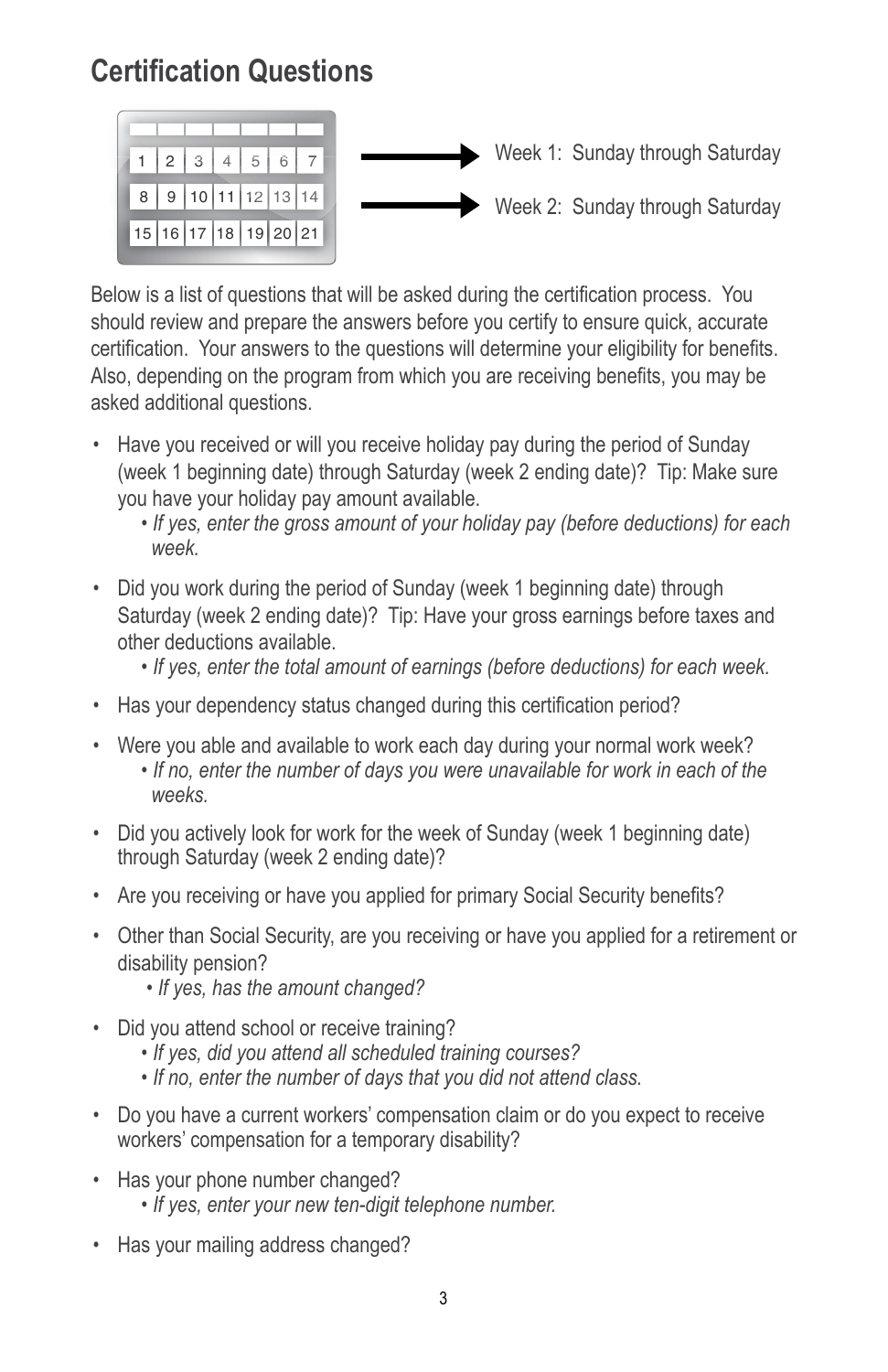# **Certification Questions**



Below is a list of questions that will be asked during the certification process. You should review and prepare the answers before you certify to ensure quick, accurate certification. Your answers to the questions will determine your eligibility for benefits. Also, depending on the program from which you are receiving benefits, you may be asked additional questions.

- Have you received or will you receive holiday pay during the period of Sunday (week 1 beginning date) through Saturday (week 2 ending date)? Tip: Make sure you have your holiday pay amount available.
	- *If yes, enter the gross amount of your holiday pay (before deductions) for each week.*
- Did you work during the period of Sunday (week 1 beginning date) through Saturday (week 2 ending date)? Tip: Have your gross earnings before taxes and other deductions available.
	- *If yes, enter the total amount of earnings (before deductions) for each week.*
- Has your dependency status changed during this certification period?
- Were you able and available to work each day during your normal work week? *• If no, enter the number of days you were unavailable for work in each of the weeks.*
- Did you actively look for work for the week of Sunday (week 1 beginning date) through Saturday (week 2 ending date)?
- Are you receiving or have you applied for primary Social Security benefits?
- • Other than Social Security, are you receiving or have you applied for a retirement or disability pension?
	- *If yes, has the amount changed?*
- Did you attend school or receive training?
	- *If yes, did you attend all scheduled training courses?*
	- *If no, enter the number of days that you did not attend class.*
- • Do you have a current workers' compensation claim or do you expect to receive workers' compensation for a temporary disability?
- Has your phone number changed? *• If yes, enter your new ten-digit telephone number.*
- Has your mailing address changed?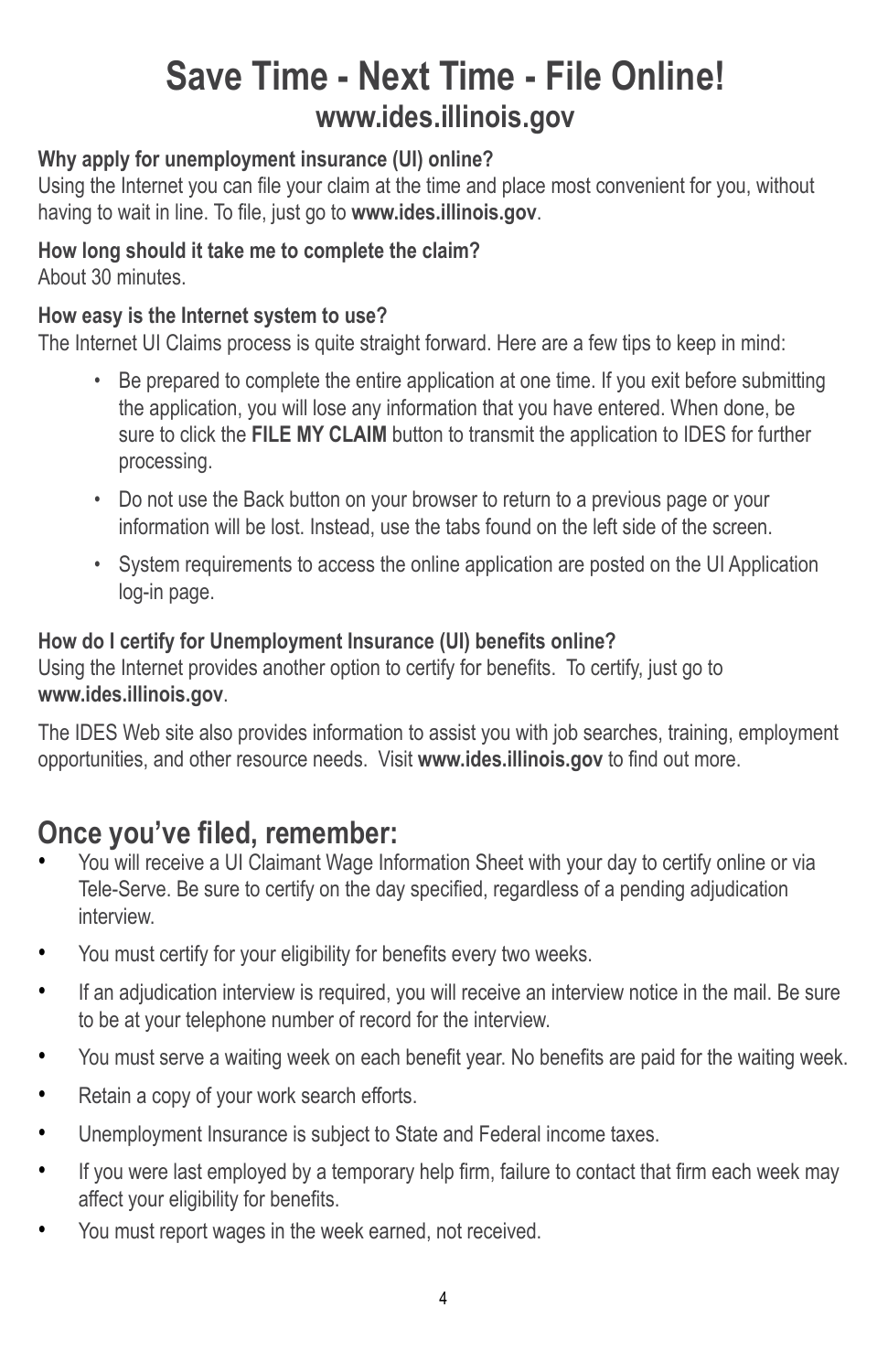# **Save Time - Next Time - File Online! www.ides.illinois.gov**

### **Why apply for unemployment insurance (UI) online?**

Using the Internet you can file your claim at the time and place most convenient for you, without having to wait in line. To file, just go to **www.ides.illinois.gov**.

### **How long should it take me to complete the claim?**

About 30 minutes.

### **How easy is the Internet system to use?**

The Internet UI Claims process is quite straight forward. Here are a few tips to keep in mind:

- Be prepared to complete the entire application at one time. If you exit before submitting the application, you will lose any information that you have entered. When done, be sure to click the **FILE MY CLAIM** button to transmit the application to IDES for further processing.
- Do not use the Back button on your browser to return to a previous page or your information will be lost. Instead, use the tabs found on the left side of the screen.
- • System requirements to access the online application are posted on the UI Application log-in page.

### **How do I certify for Unemployment Insurance (UI) benefits online?**

Using the Internet provides another option to certify for benefits. To certify, just go to **www.ides.illinois.gov**.

The IDES Web site also provides information to assist you with job searches, training, employment opportunities, and other resource needs. Visit **www.ides.illinois.gov** to find out more.

## **Once you've filed, remember:**

- You will receive a UI Claimant Wage Information Sheet with your day to certify online or via Tele-Serve. Be sure to certify on the day specified, regardless of a pending adjudication interview.
- • You must certify for your eligibility for benefits every two weeks.
- • If an adjudication interview is required, you will receive an interview notice in the mail. Be sure to be at your telephone number of record for the interview.
- • You must serve a waiting week on each benefit year. No benefits are paid for the waiting week.
- Retain a copy of your work search efforts.
- • Unemployment Insurance is subject to State and Federal income taxes.
- If you were last employed by a temporary help firm, failure to contact that firm each week may affect your eligibility for benefits.
- • You must report wages in the week earned, not received.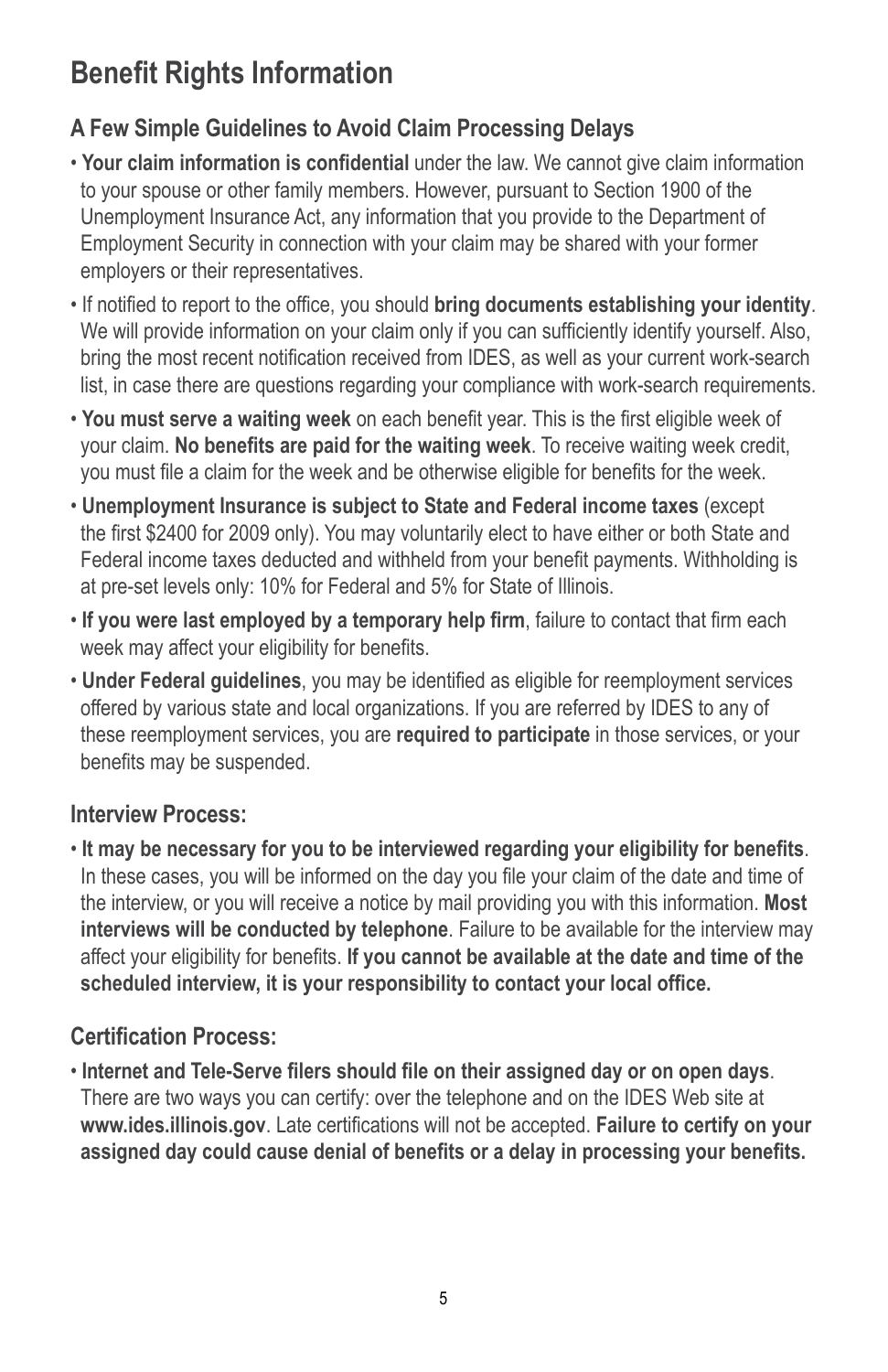# **Benefit Rights Information**

### **A Few Simple Guidelines to Avoid Claim Processing Delays**

- **Your claim information is confidential** under the law. We cannot give claim information to your spouse or other family members. However, pursuant to Section 1900 of the Unemployment Insurance Act, any information that you provide to the Department of Employment Security in connection with your claim may be shared with your former employers or their representatives.
- If notified to report to the office, you should **bring documents establishing your identity**. We will provide information on your claim only if you can sufficiently identify yourself. Also, bring the most recent notification received from IDES, as well as your current work-search list, in case there are questions regarding your compliance with work-search requirements.
- **You must serve a waiting week** on each benefit year. This is the first eligible week of your claim. **No benefits are paid for the waiting week**. To receive waiting week credit, you must file a claim for the week and be otherwise eligible for benefits for the week.
- **Unemployment Insurance is subject to State and Federal income taxes** (except the first \$2400 for 2009 only). You may voluntarily elect to have either or both State and Federal income taxes deducted and withheld from your benefit payments. Withholding is at pre-set levels only: 10% for Federal and 5% for State of Illinois.
- **If you were last employed by a temporary help firm**, failure to contact that firm each week may affect your eligibility for benefits.
- **Under Federal guidelines**, you may be identified as eligible for reemployment services offered by various state and local organizations. If you are referred by IDES to any of these reemployment services, you are **required to participate** in those services, or your benefits may be suspended.

### **Interview Process:**

• **It may be necessary for you to be interviewed regarding your eligibility for benefits**. In these cases, you will be informed on the day you file your claim of the date and time of the interview, or you will receive a notice by mail providing you with this information. **Most interviews will be conducted by telephone**. Failure to be available for the interview may affect your eligibility for benefits. **If you cannot be available at the date and time of the scheduled interview, it is your responsibility to contact your local office.** 

### **Certification Process:**

• **Internet and Tele-Serve filers should file on their assigned day or on open days**. There are two ways you can certify: over the telephone and on the IDES Web site at **www.ides.illinois.gov**. Late certifications will not be accepted. **Failure to certify on your assigned day could cause denial of benefits or a delay in processing your benefits.**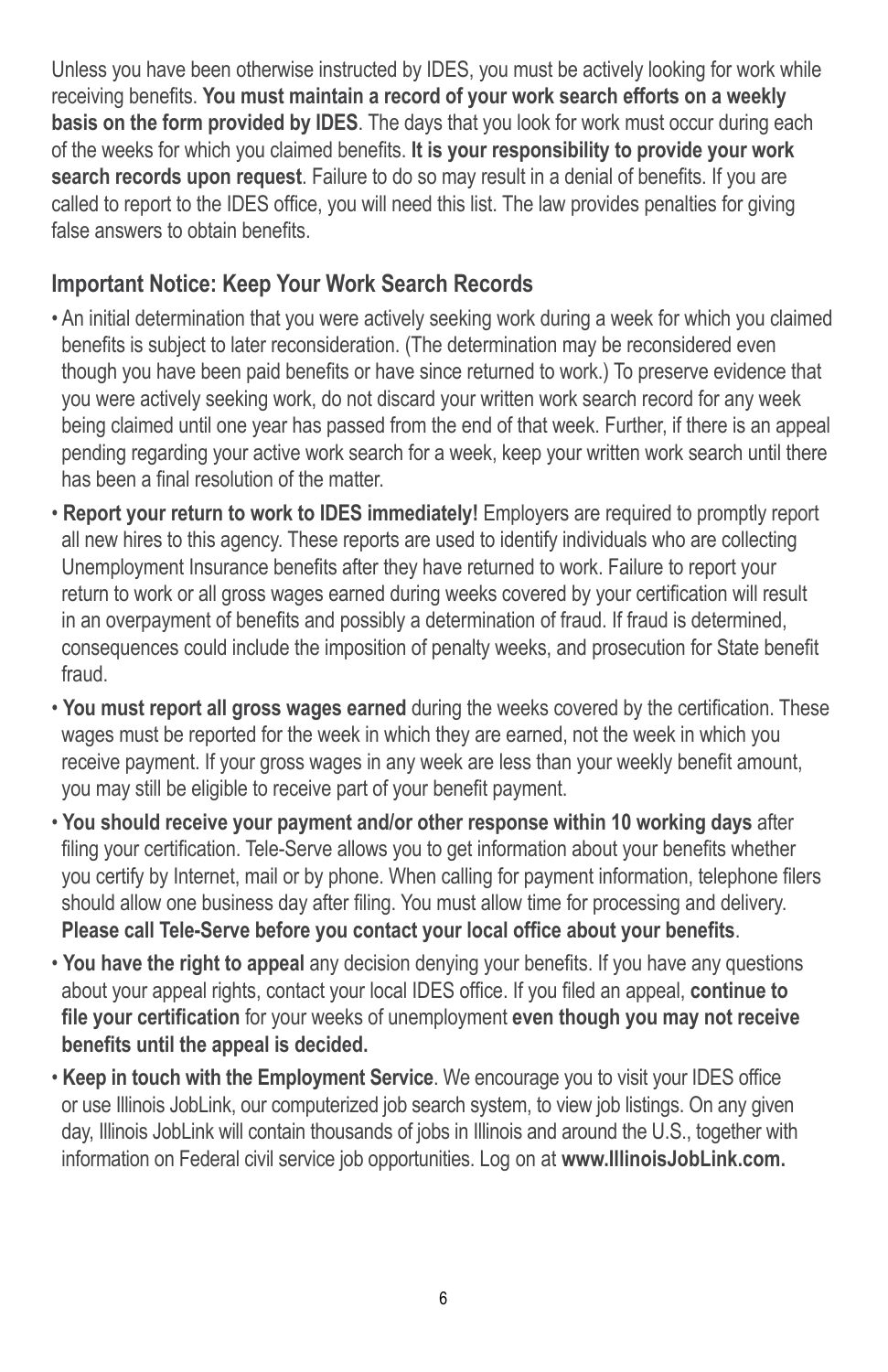Unless you have been otherwise instructed by IDES, you must be actively looking for work while receiving benefits. **You must maintain a record of your work search efforts on a weekly basis on the form provided by IDES**. The days that you look for work must occur during each of the weeks for which you claimed benefits. **It is your responsibility to provide your work search records upon request**. Failure to do so may result in a denial of benefits. If you are called to report to the IDES office, you will need this list. The law provides penalties for giving false answers to obtain benefits.

### **Important Notice: Keep Your Work Search Records**

- An initial determination that you were actively seeking work during a week for which you claimed benefits is subject to later reconsideration. (The determination may be reconsidered even though you have been paid benefits or have since returned to work.) To preserve evidence that you were actively seeking work, do not discard your written work search record for any week being claimed until one year has passed from the end of that week. Further, if there is an appeal pending regarding your active work search for a week, keep your written work search until there has been a final resolution of the matter.
- **Report your return to work to IDES immediately!** Employers are required to promptly report all new hires to this agency. These reports are used to identify individuals who are collecting Unemployment Insurance benefits after they have returned to work. Failure to report your return to work or all gross wages earned during weeks covered by your certification will result in an overpayment of benefits and possibly a determination of fraud. If fraud is determined, consequences could include the imposition of penalty weeks, and prosecution for State benefit fraud.
- **You must report all gross wages earned** during the weeks covered by the certification. These wages must be reported for the week in which they are earned, not the week in which you receive payment. If your gross wages in any week are less than your weekly benefit amount, you may still be eligible to receive part of your benefit payment.
- **You should receive your payment and/or other response within 10 working days** after filing your certification. Tele-Serve allows you to get information about your benefits whether you certify by Internet, mail or by phone. When calling for payment information, telephone filers should allow one business day after filing. You must allow time for processing and delivery. **Please call Tele-Serve before you contact your local office about your benefits**.
- **You have the right to appeal** any decision denying your benefits. If you have any questions about your appeal rights, contact your local IDES office. If you filed an appeal, **continue to file your certification** for your weeks of unemployment **even though you may not receive benefits until the appeal is decided.**
- **Keep in touch with the Employment Service**. We encourage you to visit your IDES office or use Illinois JobLink, our computerized job search system, to view job listings. On any given day, Illinois JobLink will contain thousands of jobs in Illinois and around the U.S., together with information on Federal civil service job opportunities. Log on at **www.IllinoisJobLink.com.**